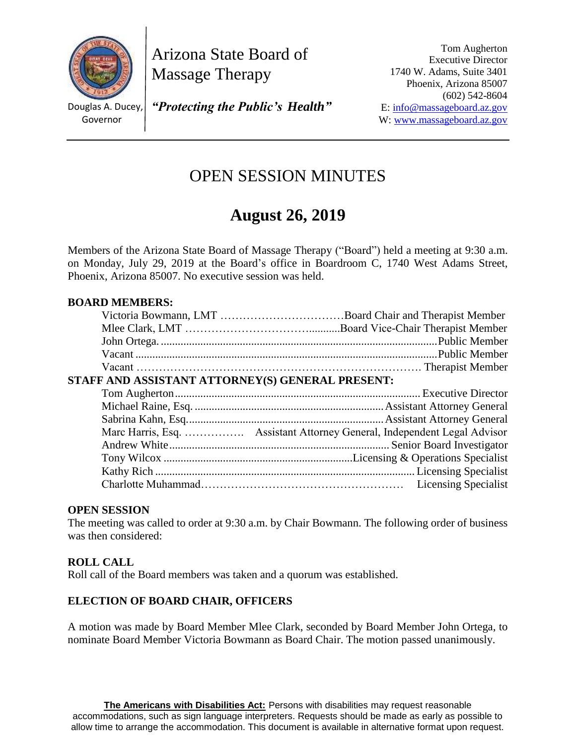

Arizona State Board of Massage Therapy

Douglas A. Ducey, Governor

*"Protecting the Public's Health"*

Tom Augherton Executive Director 1740 W. Adams, Suite 3401 Phoenix, Arizona 85007 (602) 542-8604 E: [info@massageboard.az.gov](mailto:info@massageboard.az.gov) W[: www.massageboard.az.gov](http://www.massageboard.az.gov/)

## OPEN SESSION MINUTES

# **August 26, 2019**

Members of the Arizona State Board of Massage Therapy ("Board") held a meeting at 9:30 a.m. on Monday, July 29, 2019 at the Board's office in Boardroom C, 1740 West Adams Street, Phoenix, Arizona 85007. No executive session was held.

## **BOARD MEMBERS:**

| STAFF AND ASSISTANT ATTORNEY(S) GENERAL PRESENT: |  |
|--------------------------------------------------|--|
|                                                  |  |
|                                                  |  |
|                                                  |  |
|                                                  |  |
|                                                  |  |
|                                                  |  |
|                                                  |  |
|                                                  |  |

#### **OPEN SESSION**

The meeting was called to order at 9:30 a.m. by Chair Bowmann. The following order of business was then considered:

#### **ROLL CALL**

Roll call of the Board members was taken and a quorum was established.

#### **ELECTION OF BOARD CHAIR, OFFICERS**

A motion was made by Board Member Mlee Clark, seconded by Board Member John Ortega, to nominate Board Member Victoria Bowmann as Board Chair. The motion passed unanimously.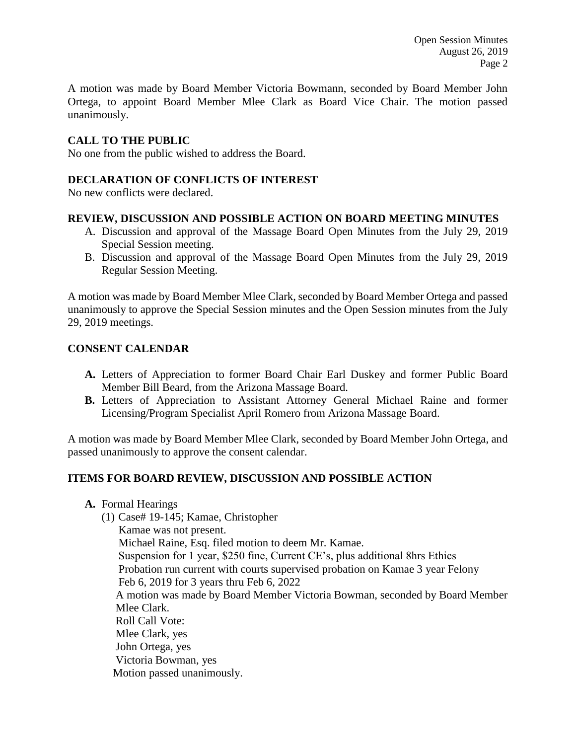Open Session Minutes August 26, 2019 Page 2

A motion was made by Board Member Victoria Bowmann, seconded by Board Member John Ortega, to appoint Board Member Mlee Clark as Board Vice Chair. The motion passed unanimously.

#### **CALL TO THE PUBLIC**

No one from the public wished to address the Board.

#### **DECLARATION OF CONFLICTS OF INTEREST**

No new conflicts were declared.

#### **REVIEW, DISCUSSION AND POSSIBLE ACTION ON BOARD MEETING MINUTES**

- A. Discussion and approval of the Massage Board Open Minutes from the July 29, 2019 Special Session meeting.
- B. Discussion and approval of the Massage Board Open Minutes from the July 29, 2019 Regular Session Meeting.

A motion was made by Board Member Mlee Clark, seconded by Board Member Ortega and passed unanimously to approve the Special Session minutes and the Open Session minutes from the July 29, 2019 meetings.

#### **CONSENT CALENDAR**

- **A.** Letters of Appreciation to former Board Chair Earl Duskey and former Public Board Member Bill Beard, from the Arizona Massage Board.
- **B.** Letters of Appreciation to Assistant Attorney General Michael Raine and former Licensing/Program Specialist April Romero from Arizona Massage Board.

A motion was made by Board Member Mlee Clark, seconded by Board Member John Ortega, and passed unanimously to approve the consent calendar.

#### **ITEMS FOR BOARD REVIEW, DISCUSSION AND POSSIBLE ACTION**

**A.** Formal Hearings

(1) Case# 19-145; Kamae, Christopher Kamae was not present. Michael Raine, Esq. filed motion to deem Mr. Kamae. Suspension for 1 year, \$250 fine, Current CE's, plus additional 8hrs Ethics Probation run current with courts supervised probation on Kamae 3 year Felony Feb 6, 2019 for 3 years thru Feb 6, 2022 A motion was made by Board Member Victoria Bowman, seconded by Board Member Mlee Clark. Roll Call Vote: Mlee Clark, yes John Ortega, yes Victoria Bowman, yes Motion passed unanimously.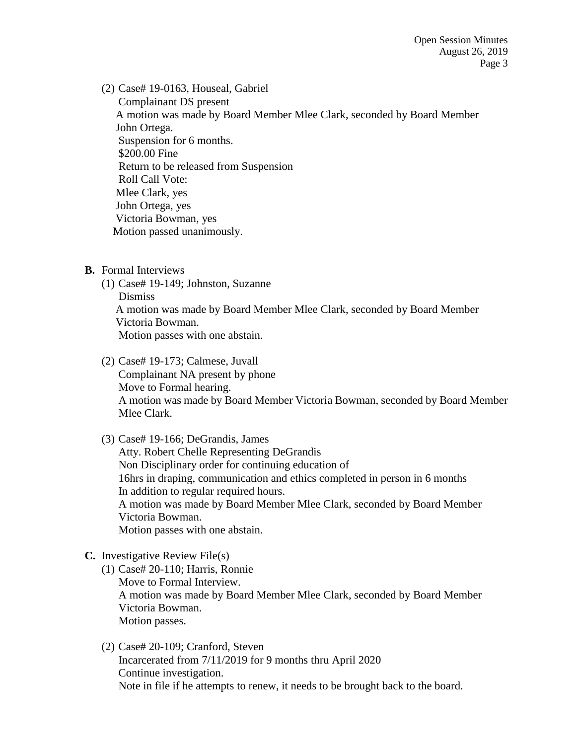(2) Case# 19-0163, Houseal, Gabriel Complainant DS present A motion was made by Board Member Mlee Clark, seconded by Board Member John Ortega. Suspension for 6 months. \$200.00 Fine Return to be released from Suspension Roll Call Vote: Mlee Clark, yes John Ortega, yes Victoria Bowman, yes Motion passed unanimously.

- **B.** Formal Interviews
	- (1) Case# 19-149; Johnston, Suzanne Dismiss A motion was made by Board Member Mlee Clark, seconded by Board Member Victoria Bowman. Motion passes with one abstain.
	- (2) Case# 19-173; Calmese, Juvall Complainant NA present by phone Move to Formal hearing. A motion was made by Board Member Victoria Bowman, seconded by Board Member Mlee Clark.
	- (3) Case# 19-166; DeGrandis, James Atty. Robert Chelle Representing DeGrandis Non Disciplinary order for continuing education of 16hrs in draping, communication and ethics completed in person in 6 months In addition to regular required hours. A motion was made by Board Member Mlee Clark, seconded by Board Member Victoria Bowman. Motion passes with one abstain.
- **C.** Investigative Review File(s)
	- (1) Case# 20-110; Harris, Ronnie Move to Formal Interview. A motion was made by Board Member Mlee Clark, seconded by Board Member Victoria Bowman. Motion passes.
	- (2) Case# 20-109; Cranford, Steven Incarcerated from 7/11/2019 for 9 months thru April 2020 Continue investigation. Note in file if he attempts to renew, it needs to be brought back to the board.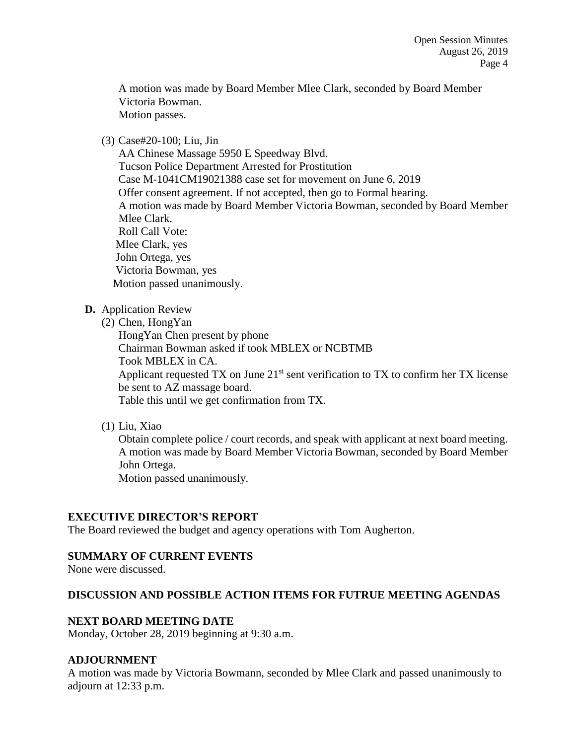A motion was made by Board Member Mlee Clark, seconded by Board Member Victoria Bowman. Motion passes.

#### (3) Case#20-100; Liu, Jin

AA Chinese Massage 5950 E Speedway Blvd. Tucson Police Department Arrested for Prostitution Case M-1041CM19021388 case set for movement on June 6, 2019 Offer consent agreement. If not accepted, then go to Formal hearing. A motion was made by Board Member Victoria Bowman, seconded by Board Member Mlee Clark. Roll Call Vote: Mlee Clark, yes John Ortega, yes Victoria Bowman, yes Motion passed unanimously.

## **D.** Application Review

(2) Chen, HongYan

HongYan Chen present by phone Chairman Bowman asked if took MBLEX or NCBTMB Took MBLEX in CA. Applicant requested TX on June  $21<sup>st</sup>$  sent verification to TX to confirm her TX license be sent to AZ massage board. Table this until we get confirmation from TX.

(1) Liu, Xiao

Obtain complete police / court records, and speak with applicant at next board meeting. A motion was made by Board Member Victoria Bowman, seconded by Board Member John Ortega.

Motion passed unanimously.

## **EXECUTIVE DIRECTOR'S REPORT**

The Board reviewed the budget and agency operations with Tom Augherton.

## **SUMMARY OF CURRENT EVENTS**

None were discussed.

## **DISCUSSION AND POSSIBLE ACTION ITEMS FOR FUTRUE MEETING AGENDAS**

#### **NEXT BOARD MEETING DATE**

Monday, October 28, 2019 beginning at 9:30 a.m.

#### **ADJOURNMENT**

A motion was made by Victoria Bowmann, seconded by Mlee Clark and passed unanimously to adjourn at 12:33 p.m.